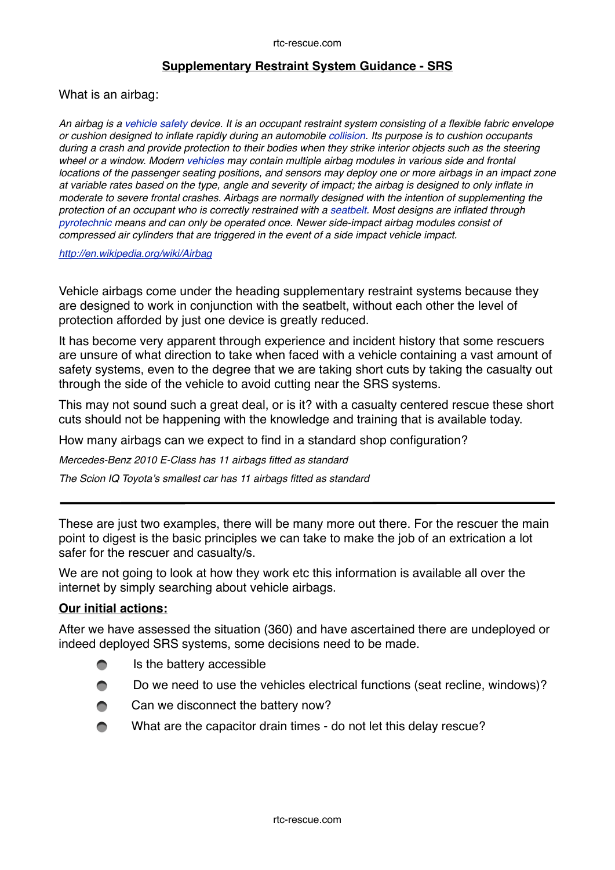## **Supplementary Restraint System Guidance - SRS**

What is an airbag:

*An airbag is a [vehicle safety](http://en.wikipedia.org/wiki/Automobile_safety) device. It is an occupant restraint system consisting of a flexible fabric envelope or cushion designed to inflate rapidly during an automobile [collision.](http://en.wikipedia.org/wiki/Collision) Its purpose is to cushion occupants during a crash and provide protection to their bodies when they strike interior objects such as the steering wheel or a window. Modern [vehicles](http://en.wikipedia.org/wiki/Vehicle) may contain multiple airbag modules in various side and frontal locations of the passenger seating positions, and sensors may deploy one or more airbags in an impact zone at variable rates based on the type, angle and severity of impact; the airbag is designed to only inflate in moderate to severe frontal crashes. Airbags are normally designed with the intention of supplementing the protection of an occupant who is correctly restrained with a [seatbelt.](http://en.wikipedia.org/wiki/Seatbelt) Most designs are inflated through [pyrotechnic](http://en.wikipedia.org/wiki/Pyrotechnic) means and can only be operated once. Newer side-impact airbag modules consist of compressed air cylinders that are triggered in the event of a side impact vehicle impact.*

*<http://en.wikipedia.org/wiki/Airbag>*

Vehicle airbags come under the heading supplementary restraint systems because they are designed to work in conjunction with the seatbelt, without each other the level of protection afforded by just one device is greatly reduced.

It has become very apparent through experience and incident history that some rescuers are unsure of what direction to take when faced with a vehicle containing a vast amount of safety systems, even to the degree that we are taking short cuts by taking the casualty out through the side of the vehicle to avoid cutting near the SRS systems.

This may not sound such a great deal, or is it? with a casualty centered rescue these short cuts should not be happening with the knowledge and training that is available today.

How many airbags can we expect to find in a standard shop configuration?

*Mercedes-Benz 2010 E-Class has 11 airbags fitted as standard*

*The Scion IQ Toyota's smallest car has 11 airbags fitted as standard*

These are just two examples, there will be many more out there. For the rescuer the main point to digest is the basic principles we can take to make the job of an extrication a lot safer for the rescuer and casualty/s.

We are not going to look at how they work etc this information is available all over the internet by simply searching about vehicle airbags.

## **Our initial actions:**

After we have assessed the situation (360) and have ascertained there are undeployed or indeed deployed SRS systems, some decisions need to be made.

- Is the battery accessible
- Do we need to use the vehicles electrical functions (seat recline, windows)?  $\blacksquare$
- Can we disconnect the battery now?
- What are the capacitor drain times do not let this delay rescue?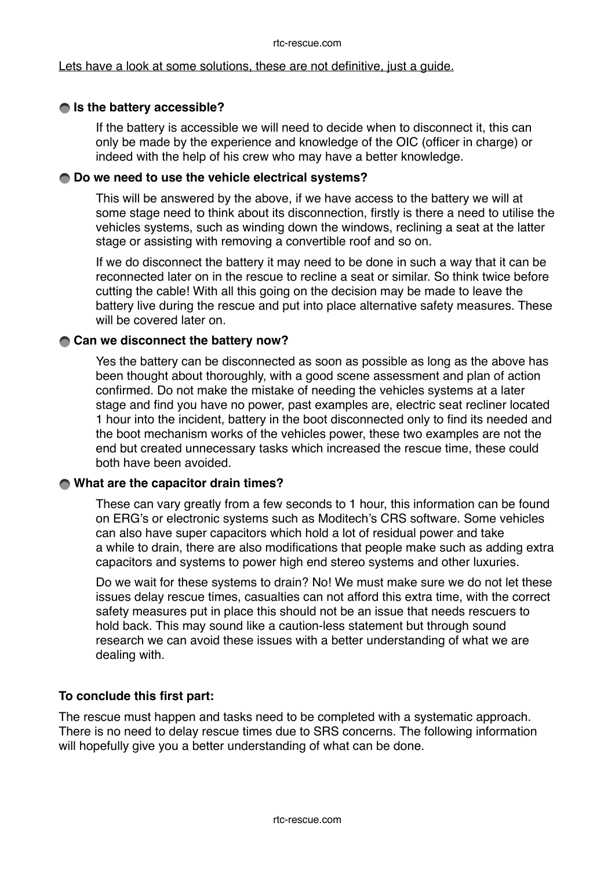#### rtc-rescue.com

#### Lets have a look at some solutions, these are not definitive, just a guide.

## $\bigcirc$  **is the battery accessible?**

If the battery is accessible we will need to decide when to disconnect it, this can only be made by the experience and knowledge of the OIC (officer in charge) or indeed with the help of his crew who may have a better knowledge.

#### **Do we need to use the vehicle electrical systems?**

This will be answered by the above, if we have access to the battery we will at some stage need to think about its disconnection, firstly is there a need to utilise the vehicles systems, such as winding down the windows, reclining a seat at the latter stage or assisting with removing a convertible roof and so on.

If we do disconnect the battery it may need to be done in such a way that it can be reconnected later on in the rescue to recline a seat or similar. So think twice before cutting the cable! With all this going on the decision may be made to leave the battery live during the rescue and put into place alternative safety measures. These will be covered later on.

#### **Can we disconnect the battery now?**

Yes the battery can be disconnected as soon as possible as long as the above has been thought about thoroughly, with a good scene assessment and plan of action confirmed. Do not make the mistake of needing the vehicles systems at a later stage and find you have no power, past examples are, electric seat recliner located 1 hour into the incident, battery in the boot disconnected only to find its needed and the boot mechanism works of the vehicles power, these two examples are not the end but created unnecessary tasks which increased the rescue time, these could both have been avoided.

## **What are the capacitor drain times?**

These can vary greatly from a few seconds to 1 hour, this information can be found on ERG's or electronic systems such as Moditech's CRS software. Some vehicles can also have super capacitors which hold a lot of residual power and take a while to drain, there are also modifications that people make such as adding extra capacitors and systems to power high end stereo systems and other luxuries.

Do we wait for these systems to drain? No! We must make sure we do not let these issues delay rescue times, casualties can not afford this extra time, with the correct safety measures put in place this should not be an issue that needs rescuers to hold back. This may sound like a caution-less statement but through sound research we can avoid these issues with a better understanding of what we are dealing with.

## **To conclude this first part:**

The rescue must happen and tasks need to be completed with a systematic approach. There is no need to delay rescue times due to SRS concerns. The following information will hopefully give you a better understanding of what can be done.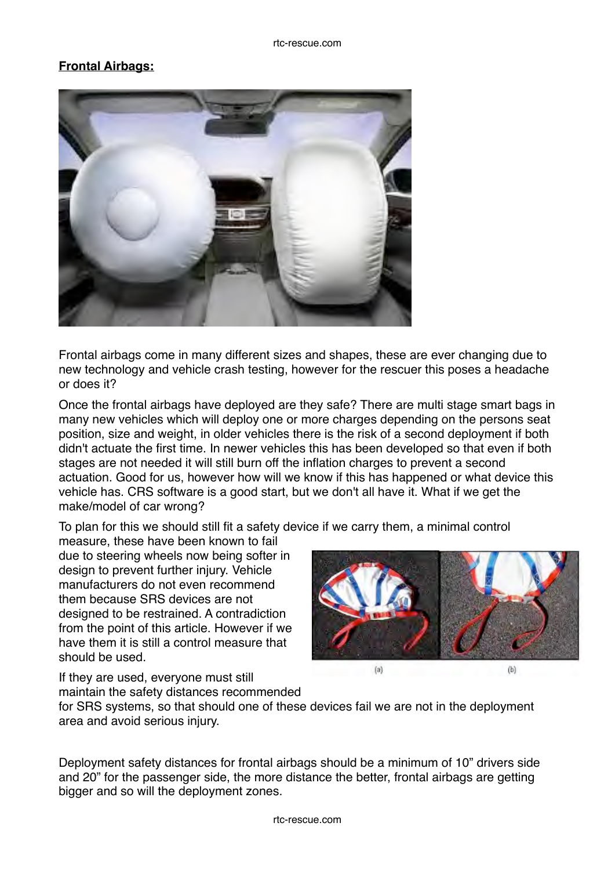# **Frontal Airbags:**



Frontal airbags come in many different sizes and shapes, these are ever changing due to new technology and vehicle crash testing, however for the rescuer this poses a headache or does it?

Once the frontal airbags have deployed are they safe? There are multi stage smart bags in many new vehicles which will deploy one or more charges depending on the persons seat position, size and weight, in older vehicles there is the risk of a second deployment if both didn't actuate the first time. In newer vehicles this has been developed so that even if both stages are not needed it will still burn off the inflation charges to prevent a second actuation. Good for us, however how will we know if this has happened or what device this vehicle has. CRS software is a good start, but we don't all have it. What if we get the make/model of car wrong?

To plan for this we should still fit a safety device if we carry them, a minimal control

measure, these have been known to fail due to steering wheels now being softer in design to prevent further injury. Vehicle manufacturers do not even recommend them because SRS devices are not designed to be restrained. A contradiction from the point of this article. However if we have them it is still a control measure that should be used.

 $(a)$  $(b)$ 

If they are used, everyone must still maintain the safety distances recommended

for SRS systems, so that should one of these devices fail we are not in the deployment area and avoid serious injury.

Deployment safety distances for frontal airbags should be a minimum of 10" drivers side and 20" for the passenger side, the more distance the better, frontal airbags are getting bigger and so will the deployment zones.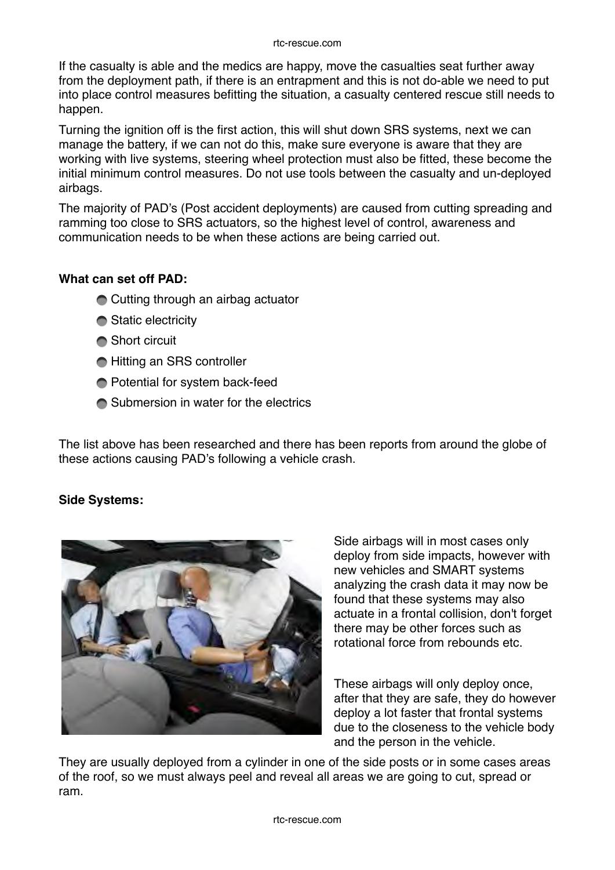#### rtc-rescue.com

If the casualty is able and the medics are happy, move the casualties seat further away from the deployment path, if there is an entrapment and this is not do-able we need to put into place control measures befitting the situation, a casualty centered rescue still needs to happen.

Turning the ignition off is the first action, this will shut down SRS systems, next we can manage the battery, if we can not do this, make sure everyone is aware that they are working with live systems, steering wheel protection must also be fitted, these become the initial minimum control measures. Do not use tools between the casualty and un-deployed airbags.

The majority of PAD's (Post accident deployments) are caused from cutting spreading and ramming too close to SRS actuators, so the highest level of control, awareness and communication needs to be when these actions are being carried out.

## **What can set off PAD:**

- **Cutting through an airbag actuator**
- **Static electricity**
- **Short circuit**
- **Hitting an SRS controller**
- Potential for system back-feed
- **■** Submersion in water for the electrics

The list above has been researched and there has been reports from around the globe of these actions causing PAD's following a vehicle crash.

# **Side Systems:**



Side airbags will in most cases only deploy from side impacts, however with new vehicles and SMART systems analyzing the crash data it may now be found that these systems may also actuate in a frontal collision, don't forget there may be other forces such as rotational force from rebounds etc.

These airbags will only deploy once, after that they are safe, they do however deploy a lot faster that frontal systems due to the closeness to the vehicle body and the person in the vehicle.

They are usually deployed from a cylinder in one of the side posts or in some cases areas of the roof, so we must always peel and reveal all areas we are going to cut, spread or ram.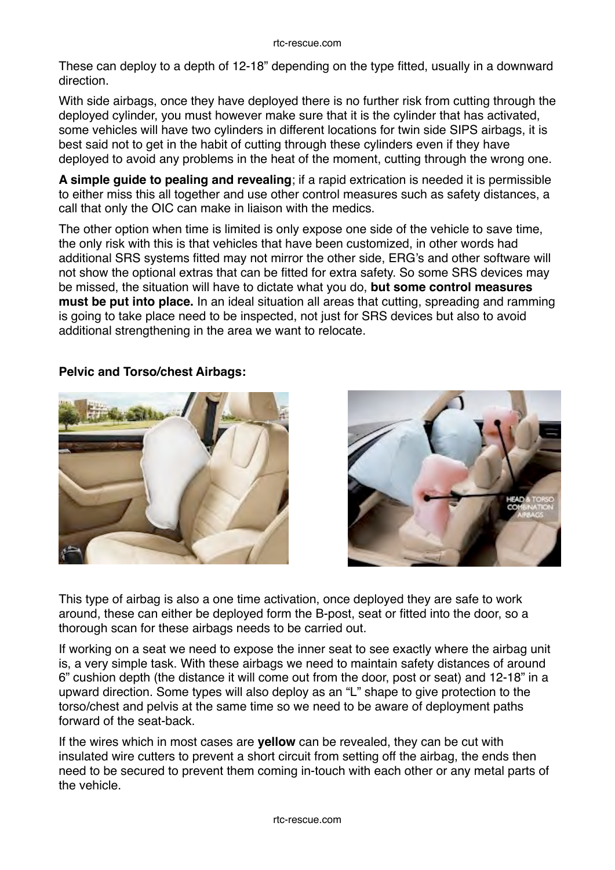These can deploy to a depth of 12-18" depending on the type fitted, usually in a downward direction.

With side airbags, once they have deployed there is no further risk from cutting through the deployed cylinder, you must however make sure that it is the cylinder that has activated, some vehicles will have two cylinders in different locations for twin side SIPS airbags, it is best said not to get in the habit of cutting through these cylinders even if they have deployed to avoid any problems in the heat of the moment, cutting through the wrong one.

**A simple guide to pealing and revealing**; if a rapid extrication is needed it is permissible to either miss this all together and use other control measures such as safety distances, a call that only the OIC can make in liaison with the medics.

The other option when time is limited is only expose one side of the vehicle to save time, the only risk with this is that vehicles that have been customized, in other words had additional SRS systems fitted may not mirror the other side, ERG's and other software will not show the optional extras that can be fitted for extra safety. So some SRS devices may be missed, the situation will have to dictate what you do, **but some control measures must be put into place.** In an ideal situation all areas that cutting, spreading and ramming is going to take place need to be inspected, not just for SRS devices but also to avoid additional strengthening in the area we want to relocate.



## **Pelvic and Torso/chest Airbags:**



This type of airbag is also a one time activation, once deployed they are safe to work around, these can either be deployed form the B-post, seat or fitted into the door, so a thorough scan for these airbags needs to be carried out.

If working on a seat we need to expose the inner seat to see exactly where the airbag unit is, a very simple task. With these airbags we need to maintain safety distances of around 6" cushion depth (the distance it will come out from the door, post or seat) and 12-18" in a upward direction. Some types will also deploy as an "L" shape to give protection to the torso/chest and pelvis at the same time so we need to be aware of deployment paths forward of the seat-back.

If the wires which in most cases are **yellow** can be revealed, they can be cut with insulated wire cutters to prevent a short circuit from setting off the airbag, the ends then need to be secured to prevent them coming in-touch with each other or any metal parts of the vehicle.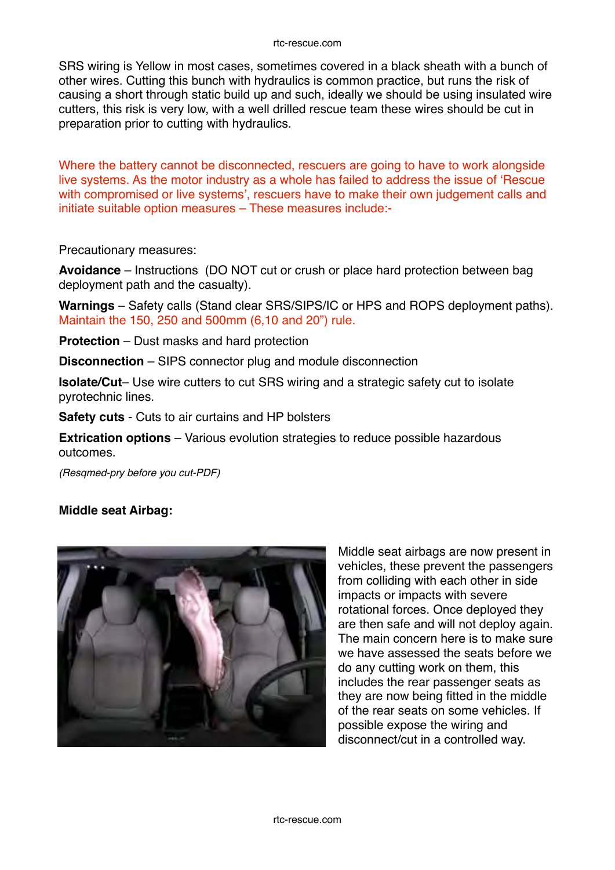SRS wiring is Yellow in most cases, sometimes covered in a black sheath with a bunch of other wires. Cutting this bunch with hydraulics is common practice, but runs the risk of causing a short through static build up and such, ideally we should be using insulated wire cutters, this risk is very low, with a well drilled rescue team these wires should be cut in preparation prior to cutting with hydraulics.

Where the battery cannot be disconnected, rescuers are going to have to work alongside live systems. As the motor industry as a whole has failed to address the issue of 'Rescue with compromised or live systems', rescuers have to make their own judgement calls and initiate suitable option measures – These measures include:-

Precautionary measures:

**Avoidance** – Instructions (DO NOT cut or crush or place hard protection between bag deployment path and the casualty).

**Warnings** – Safety calls (Stand clear SRS/SIPS/IC or HPS and ROPS deployment paths). Maintain the 150, 250 and 500mm (6,10 and 20") rule.

**Protection** – Dust masks and hard protection

**Disconnection** – SIPS connector plug and module disconnection

**Isolate/Cut**– Use wire cutters to cut SRS wiring and a strategic safety cut to isolate pyrotechnic lines.

**Safety cuts** - Cuts to air curtains and HP bolsters

**Extrication options** – Various evolution strategies to reduce possible hazardous outcomes.

*(Resqmed-pry before you cut-PDF)*

#### **Middle seat Airbag:**



Middle seat airbags are now present in vehicles, these prevent the passengers from colliding with each other in side impacts or impacts with severe rotational forces. Once deployed they are then safe and will not deploy again. The main concern here is to make sure we have assessed the seats before we do any cutting work on them, this includes the rear passenger seats as they are now being fitted in the middle of the rear seats on some vehicles. If possible expose the wiring and disconnect/cut in a controlled way.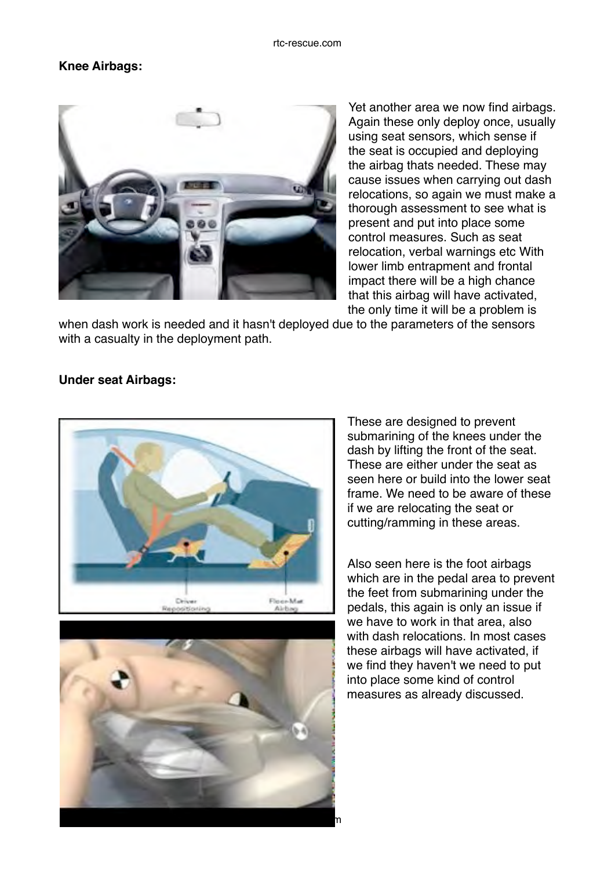# **Knee Airbags:**



Yet another area we now find airbags. Again these only deploy once, usually using seat sensors, which sense if the seat is occupied and deploying the airbag thats needed. These may cause issues when carrying out dash relocations, so again we must make a thorough assessment to see what is present and put into place some control measures. Such as seat relocation, verbal warnings etc With lower limb entrapment and frontal impact there will be a high chance that this airbag will have activated, the only time it will be a problem is

when dash work is needed and it hasn't deployed due to the parameters of the sensors with a casualty in the deployment path.

## **Under seat Airbags:**





These are designed to prevent submarining of the knees under the dash by lifting the front of the seat. These are either under the seat as seen here or build into the lower seat frame. We need to be aware of these if we are relocating the seat or cutting/ramming in these areas.

Also seen here is the foot airbags which are in the pedal area to prevent the feet from submarining under the pedals, this again is only an issue if we have to work in that area, also with dash relocations. In most cases these airbags will have activated, if we find they haven't we need to put into place some kind of control measures as already discussed.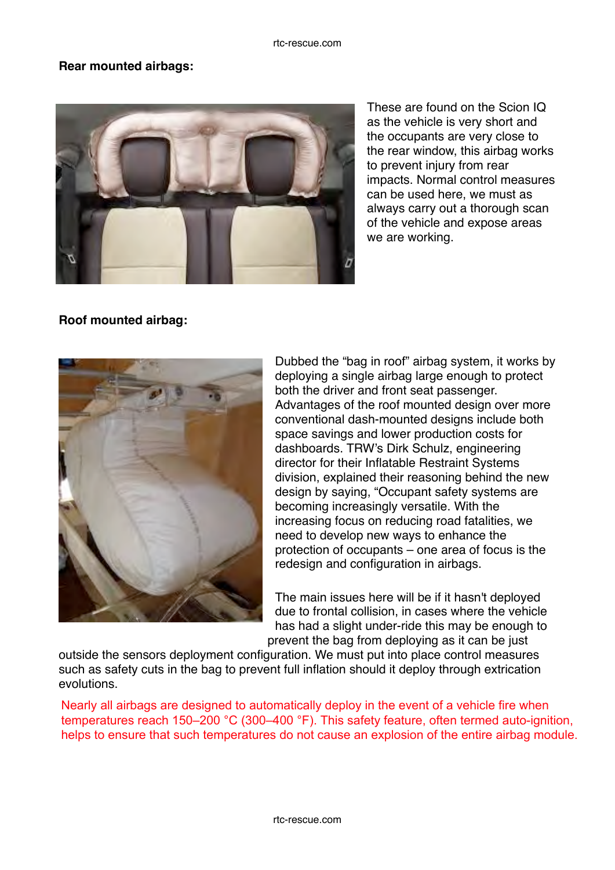## **Rear mounted airbags:**



These are found on the Scion IQ as the vehicle is very short and the occupants are very close to the rear window, this airbag works to prevent injury from rear impacts. Normal control measures can be used here, we must as always carry out a thorough scan of the vehicle and expose areas we are working.

# **Roof mounted airbag:**



Dubbed the "bag in roof" airbag system, it works by deploying a single airbag large enough to protect both the driver and front seat passenger. Advantages of the roof mounted design over more conventional dash-mounted designs include both space savings and lower production costs for dashboards. TRW's Dirk Schulz, engineering director for their Inflatable Restraint Systems division, explained their reasoning behind the new design by saying, "Occupant safety systems are becoming increasingly versatile. With the increasing focus on reducing road fatalities, we need to develop new ways to enhance the protection of occupants – one area of focus is the redesign and configuration in airbags.

The main issues here will be if it hasn't deployed due to frontal collision, in cases where the vehicle has had a slight under-ride this may be enough to prevent the bag from deploying as it can be just

outside the sensors deployment configuration. We must put into place control measures such as safety cuts in the bag to prevent full inflation should it deploy through extrication evolutions.

Nearly all airbags are designed to automatically deploy in the event of a vehicle fire when temperatures reach 150–200 °C (300–400 °F). This safety feature, often termed auto-ignition, helps to ensure that such temperatures do not cause an explosion of the entire airbag module.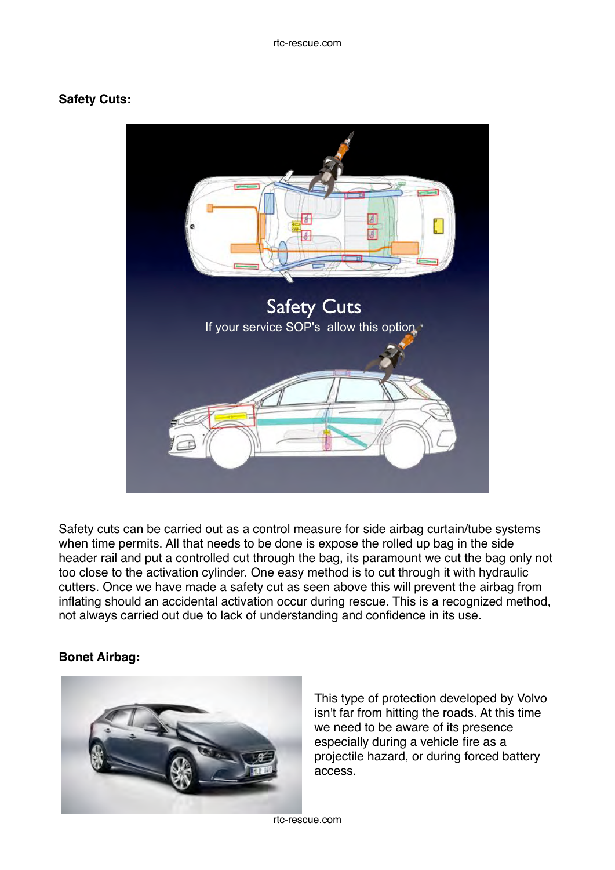## **Safety Cuts:**



Safety cuts can be carried out as a control measure for side airbag curtain/tube systems when time permits. All that needs to be done is expose the rolled up bag in the side header rail and put a controlled cut through the bag, its paramount we cut the bag only not too close to the activation cylinder. One easy method is to cut through it with hydraulic cutters. Once we have made a safety cut as seen above this will prevent the airbag from inflating should an accidental activation occur during rescue. This is a recognized method, not always carried out due to lack of understanding and confidence in its use.

## **Bonet Airbag:**



This type of protection developed by Volvo isn't far from hitting the roads. At this time we need to be aware of its presence especially during a vehicle fire as a projectile hazard, or during forced battery access.

rtc-rescue.com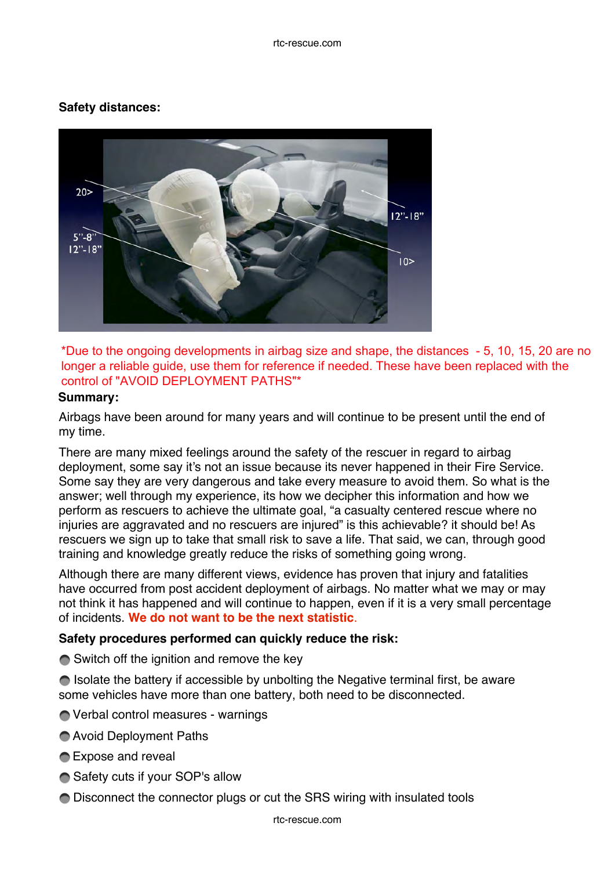#### rtc-rescue.com

# **Safety distances:**



\*Due to the ongoing developments in airbag size and shape, the distances - 5, 10, 15, 20 are no longer a reliable guide, use them for reference if needed. These have been replaced with the control of "AVOID DEPLOYMENT PATHS"\*

#### **Summary:**

Airbags have been around for many years and will continue to be present until the end of my time.

There are many mixed feelings around the safety of the rescuer in regard to airbag deployment, some say it's not an issue because its never happened in their Fire Service. Some say they are very dangerous and take every measure to avoid them. So what is the answer; well through my experience, its how we decipher this information and how we perform as rescuers to achieve the ultimate goal, "a casualty centered rescue where no injuries are aggravated and no rescuers are injured" is this achievable? it should be! As rescuers we sign up to take that small risk to save a life. That said, we can, through good training and knowledge greatly reduce the risks of something going wrong.

Although there are many different views, evidence has proven that injury and fatalities have occurred from post accident deployment of airbags. No matter what we may or may not think it has happened and will continue to happen, even if it is a very small percentage of incidents. **We do not want to be the next statistic**.

## **Safety procedures performed can quickly reduce the risk:**

 $\bigcirc$  Switch off the ignition and remove the key

● Isolate the battery if accessible by unbolting the Negative terminal first, be aware some vehicles have more than one battery, both need to be disconnected.

- Verbal control measures warnings
- Avoid Deployment Paths
- **■** Expose and reveal
- **Safety cuts if your SOP's allow**
- Disconnect the connector plugs or cut the SRS wiring with insulated tools